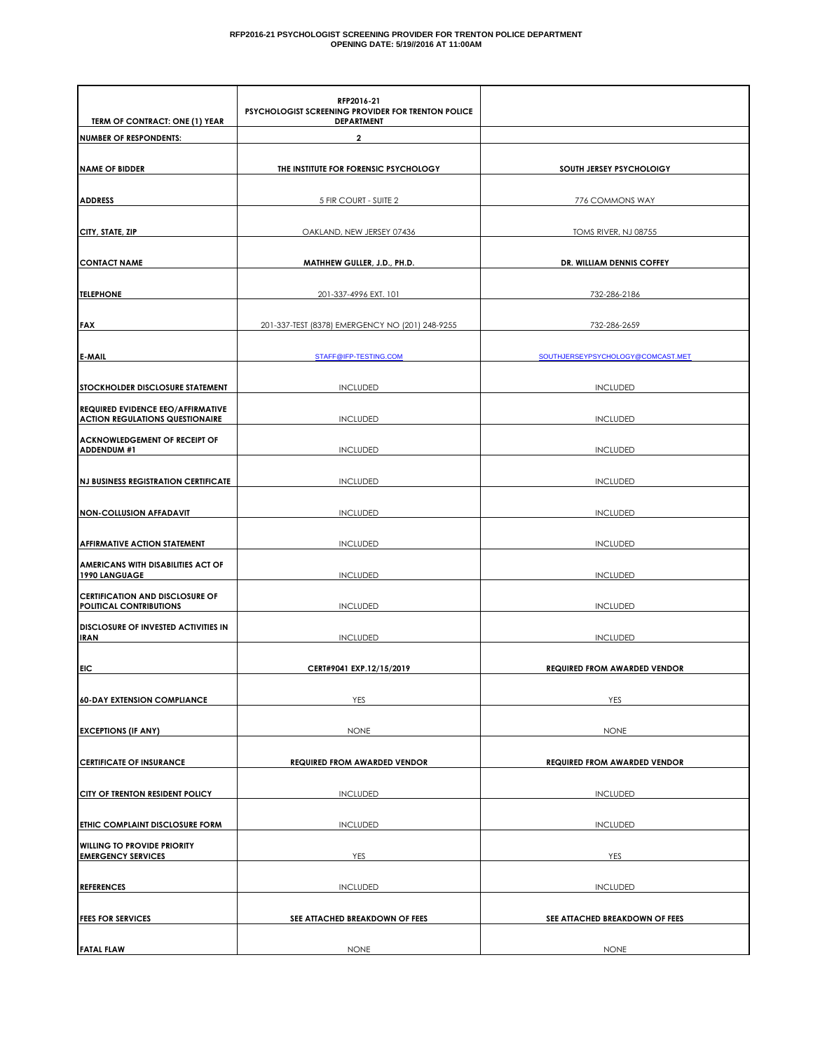#### **RFP2016-21 PSYCHOLOGIST SCREENING PROVIDER FOR TRENTON POLICE DEPARTMENT OPENING DATE: 5/19//2016 AT 11:00AM**

| TERM OF CONTRACT: ONE (1) YEAR                                                     | RFP2016-21<br>PSYCHOLOGIST SCREENING PROVIDER FOR TRENTON POLICE<br><b>DEPARTMENT</b> |                                     |
|------------------------------------------------------------------------------------|---------------------------------------------------------------------------------------|-------------------------------------|
| <b>NUMBER OF RESPONDENTS:</b>                                                      | $\overline{2}$                                                                        |                                     |
|                                                                                    |                                                                                       |                                     |
| <b>NAME OF BIDDER</b>                                                              | THE INSTITUTE FOR FORENSIC PSYCHOLOGY                                                 | SOUTH JERSEY PSYCHOLOIGY            |
| <b>ADDRESS</b>                                                                     | 5 FIR COURT - SUITE 2                                                                 | 776 COMMONS WAY                     |
| CITY, STATE, ZIP                                                                   | OAKLAND, NEW JERSEY 07436                                                             | TOMS RIVER, NJ 08755                |
| <b>CONTACT NAME</b>                                                                | MATHHEW GULLER, J.D., PH.D.                                                           | DR. WILLIAM DENNIS COFFEY           |
| <b>TELEPHONE</b>                                                                   | 201-337-4996 EXT. 101                                                                 | 732-286-2186                        |
| <b>FAX</b>                                                                         | 201-337-TEST (8378) EMERGENCY NO (201) 248-9255                                       | 732-286-2659                        |
| <b>E-MAIL</b>                                                                      | STAFF@IFP-TESTING.COM                                                                 | SOUTHJERSEYPSYCHOLOGY@COMCAST.MET   |
| STOCKHOLDER DISCLOSURE STATEMENT                                                   | <b>INCLUDED</b>                                                                       | <b>INCLUDED</b>                     |
| <b>REQUIRED EVIDENCE EEO/AFFIRMATIVE</b><br><b>ACTION REGULATIONS QUESTIONAIRE</b> | <b>INCLUDED</b>                                                                       | <b>INCLUDED</b>                     |
| <b>ACKNOWLEDGEMENT OF RECEIPT OF</b><br>ADDENDUM #1                                | <b>INCLUDED</b>                                                                       | <b>INCLUDED</b>                     |
| <b>NJ BUSINESS REGISTRATION CERTIFICATE</b>                                        | <b>INCLUDED</b>                                                                       | <b>INCLUDED</b>                     |
| <b>NON-COLLUSION AFFADAVIT</b>                                                     | <b>INCLUDED</b>                                                                       | <b>INCLUDED</b>                     |
| <b>AFFIRMATIVE ACTION STATEMENT</b>                                                | <b>INCLUDED</b>                                                                       | <b>INCLUDED</b>                     |
| AMERICANS WITH DISABILITIES ACT OF<br>1990 LANGUAGE                                | <b>INCLUDED</b>                                                                       | <b>INCLUDED</b>                     |
| <b>CERTIFICATION AND DISCLOSURE OF</b><br>POLITICAL CONTRIBUTIONS                  | <b>INCLUDED</b>                                                                       | <b>INCLUDED</b>                     |
| DISCLOSURE OF INVESTED ACTIVITIES IN<br><b>IRAN</b>                                | <b>INCLUDED</b>                                                                       | <b>INCLUDED</b>                     |
| <b>EIC</b>                                                                         | CERT#9041 EXP.12/15/2019                                                              | <b>REQUIRED FROM AWARDED VENDOR</b> |
| <b>60-DAY EXTENSION COMPLIANCE</b>                                                 | YES                                                                                   | YES                                 |
| <b>EXCEPTIONS (IF ANY)</b>                                                         | <b>NONE</b>                                                                           | <b>NONE</b>                         |
| <b>CERTIFICATE OF INSURANCE</b>                                                    | <b>REQUIRED FROM AWARDED VENDOR</b>                                                   | <b>REQUIRED FROM AWARDED VENDOR</b> |
| CITY OF TRENTON RESIDENT POLICY                                                    | <b>INCLUDED</b>                                                                       | <b>INCLUDED</b>                     |
| ETHIC COMPLAINT DISCLOSURE FORM                                                    | <b>INCLUDED</b>                                                                       | <b>INCLUDED</b>                     |
| <b>WILLING TO PROVIDE PRIORITY</b><br><b>EMERGENCY SERVICES</b>                    | YES                                                                                   | YES                                 |
| <b>REFERENCES</b>                                                                  | <b>INCLUDED</b>                                                                       | <b>INCLUDED</b>                     |
| <b>FEES FOR SERVICES</b>                                                           | SEE ATTACHED BREAKDOWN OF FEES                                                        | SEE ATTACHED BREAKDOWN OF FEES      |
|                                                                                    |                                                                                       |                                     |
| <b>FATAL FLAW</b>                                                                  | <b>NONE</b>                                                                           | <b>NONE</b>                         |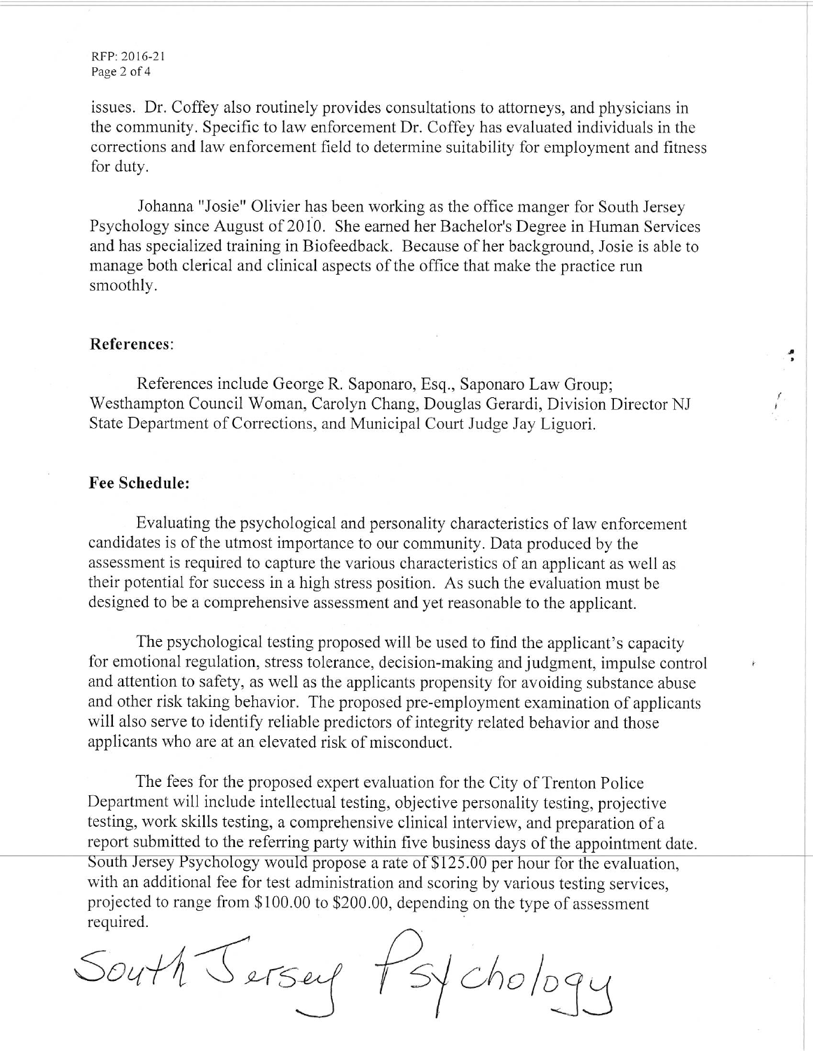RFP: 2016-21 Page 2 of 4

issues. Dr. Coffey also routinely provides consultations to attorneys, and physicians in the community. Specific to law enforcement Dr. Coffey has evaluated individuals in the corrections and law enforcement field to determine suitability for employment and fitness for duty.

Johanna "Josie" Olivier has been working as the office manger for South Jersey Psychology since August of 2010. She earned her Bachelor's Degree in Human Services and has specialized training in Biofeedback. Because of her background, Josie is able to manage both clerical and clinical aspects of the office that make the practice run smoothly.

### References:

References include George R. Saponaro, Esq., Saponaro Law Group; Westhampton Council Woman, Carolyn Chang, Douglas Gerardi, Division Director NJ State Department of Corrections, and Municipal Court Judge Jay Liguori.

÷

### **Fee Schedule:**

Evaluating the psychological and personality characteristics of law enforcement candidates is of the utmost importance to our community. Data produced by the assessment is required to capture the various characteristics of an applicant as well as their potential for success in a high stress position. As such the evaluation must be designed to be a comprehensive assessment and yet reasonable to the applicant.

The psychological testing proposed will be used to find the applicant's capacity for emotional regulation, stress tolerance, decision-making and judgment, impulse control and attention to safety, as well as the applicants propensity for avoiding substance abuse and other risk taking behavior. The proposed pre-employment examination of applicants will also serve to identify reliable predictors of integrity related behavior and those applicants who are at an elevated risk of misconduct.

The fees for the proposed expert evaluation for the City of Trenton Police Department will include intellectual testing, objective personality testing, projective testing, work skills testing, a comprehensive clinical interview, and preparation of a report submitted to the referring party within five business days of the appointment date. South Jersey Psychology would propose a rate of \$125.00 per hour for the evaluation. with an additional fee for test administration and scoring by various testing services. projected to range from \$100.00 to \$200.00, depending on the type of assessment required.

South Jersey